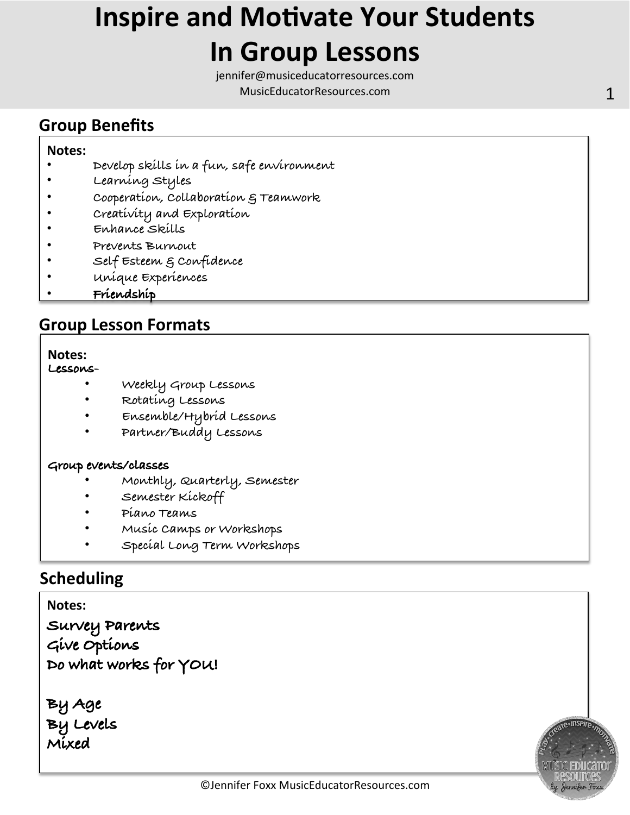## **Inspire and Motivate Your Students In Group Lessons**

jennifer@musiceducatorresources.com MusicEducatorResources.com **1** 

### **Group Benefits**

#### **Notes:**

- **Develop skills in a fun, safe environment**
- **Learning Styles**
- **Cooperation, Collaboration & Teamwork**
- **Creativity and Exploration**
- **Enhance Skills**
- **Prevents Burnout**
- **Self Esteem & Confidence**
- **Unique Experiences**
- **Friendship**

### **Group Lesson Formats**

### **Notes:**

### **Lessons-**

- **Weekly Group Lessons**
- **Rotating Lessons**
- **Ensemble/Hybrid Lessons**
- **Partner/Buddy Lessons**

#### **Group events/classes**

- **Monthly, Quarterly, Semester**
- **Semester Kickoff**
- **Piano Teams**
- **Music Camps or Workshops**
- **Special Long Term Workshops**

### **Scheduling**

**Survey Parents Give Options Do what works for YOU! Notes:** 

**By Age By Levels Mixed** 

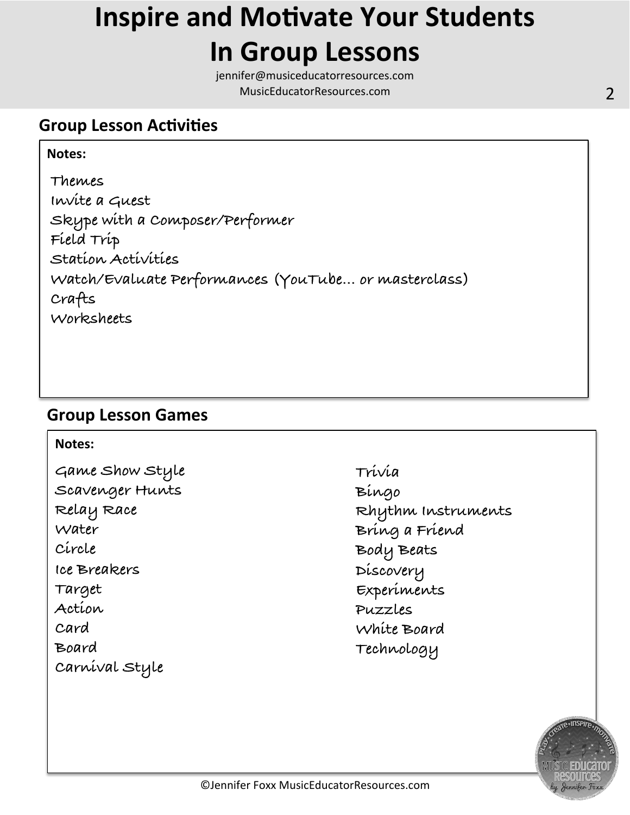## **Inspire and Motivate Your Students In Group Lessons**

jennifer@musiceducatorresources.com MusicEducatorResources.com **2** and 2

### **Group Lesson Activities**

### **Notes:**   $\mathbf{r}$

 $\mathbf{r}$ 

**Themes Invite a Guest Skype with a Composer/Performer Field Trip Station Activities Watch/Evaluate Performances (YouTube… or masterclass) Crafts Worksheets** 

### **Group Lesson Games**

### **Notes:**

**Game Show Style Scavenger Hunts Relay Race Water Circle Ice Breakers Target Action Card Board Carnival Style** 

**Trivia Bingo Rhythm Instruments Bring a Friend Body Beats Discovery Experiments Puzzles White Board Technology**